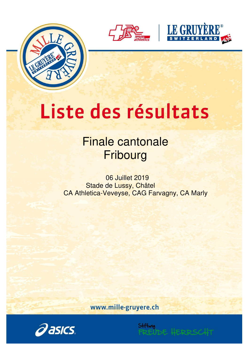





# Liste des résultats

## Finale cantonale **Fribourg**

06 Juillet 2019 Stade de Lussy, Châtel CA Athletica-Veveyse, CAG Farvagny, CA Marly

www.mille-gruyere.ch

Stiftung

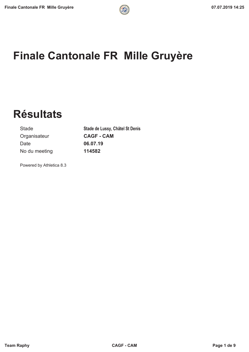## **Finale Cantonale FR Mille Gruyère**

**Résultats**

Organisateur **CAGF - CAM** Date **06.07.19** No du meeting **114582**

Stade **Stade de Lussy, Châtel St Denis**

Powered by Athletica 8.3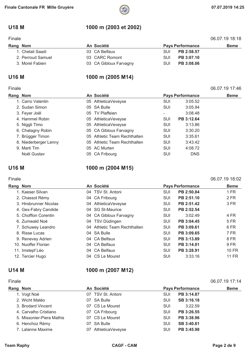### **U18 M 1000 m (2003 et 2002)**

| Finale | 06.07.19 18:18 |
|--------|----------------|
|        |                |

| Rang Nom          | An Société             |            | <b>Pays Performance</b> | <b>Beme</b> |
|-------------------|------------------------|------------|-------------------------|-------------|
| 1. Chelali Saadi  | 03 CA Belfaux          | <b>SUI</b> | PB 2:58.57              |             |
| 2. Perroud Samuel | 03 CARC Romont         | <b>SUI</b> | PB 3:07.10              |             |
| 3. Morel Fabien   | 03 CA Gibloux Farvagny | <b>SUI</b> | PB 3:08.06              |             |

#### Finale 06.07.19 17:46

### U16 M 1000 m (2005 M14)

| Rang Nom              | An Société                   |            | <b>Pays Performance</b> | <b>Beme</b> |
|-----------------------|------------------------------|------------|-------------------------|-------------|
| 1. Carro Valentin     | 05 AthleticaVeveyse          | <b>SUI</b> | 3:05.52                 |             |
| 2. Sudan Simon        | 05 SA Bulle                  | <b>SUI</b> | 3:05.94                 |             |
| 3. Feyer Joël         | 05 TV Plaffeien              | -          | 3:08.48                 |             |
| 4. Hammel Robin       | 05 AthleticaVeveyse          | <b>SUI</b> | PB 3:12.64              |             |
| 5. Niggli Timo        | 05 AthleticaVeveyse          | <b>SUI</b> | 3:13.86                 |             |
| 6. Chatagny Robin     | 05 CA Gibloux Farvagny       | <b>SUI</b> | 3:30.20                 |             |
| 7. Brügger Timon      | 05 Athletic Team Rechthalten | SUI        | 3:35.61                 |             |
| 8. Niederberger Lenny | 05 Athletic Team Rechthalten | SUI        | 3:43.42                 |             |
| 9. Marti Tim          | 05 AC Murten                 | SUI        | 4:08.72                 |             |
| Noël Gustav           | 05 CA Fribourg               | SUI        | <b>DNS</b>              |             |

### U16 M 1000 m (2004 M15)

#### Finale 06.07.19 18:02

| Rang Nom |                        | An Société                   |            | <b>Pays Performance</b> | <b>Beme</b> |
|----------|------------------------|------------------------------|------------|-------------------------|-------------|
|          | 1. Kaeser Silvan       | 04 TSV St. Antoni            | SUI        | PB 2:50.84              | 1 FR        |
|          | 2. Chassot Rémy        | 04 CA Fribourg               | <b>SUI</b> | PB 2:51.10              | 2 FR        |
|          | 3. Hirsbrunner Nicolas | 04 AthleticaVeveyse          | <b>SUI</b> | PB 2:51.42              | 3 FR        |
|          | 4. Gex-Fabry Candide   | 04 SG St-Maurice             | SUI        | PB 2:52.54              |             |
|          | 5. Chofflon Corentin   | 04 CA Gibloux Farvagny       | <b>SUI</b> | 3:02.49                 | 4 FR        |
|          | 6. Zumwald Noé         | 04 TSV Düdingen              | <b>SUI</b> | PB 3:04.45              | 5 FR        |
|          | 7. Schuwey Leandro     | 04 Athletic Team Rechthalten | <b>SUI</b> | PB 3:09.61              | 6 FR        |
|          | 8. Risse Lucas         | 04 SA Bulle                  | <b>SUI</b> | PB 3:09.65              | 7 FR        |
|          | 9. Renevey Adrien      | 04 CA Belfaux                | <b>SUI</b> | PB 3:13.89              | 8 FR        |
|          | 10. Nuoffer Florian    | 04 CA Belfaux                | SUI        | PB 3:14.01              | 9 FR        |
|          | 11. Imstepf Léo        | 04 CA Belfaux                | <b>SUI</b> | PB 3:28.91              | 10 FR       |
|          | 12. Tercier Hugo       | 04 CS Le Mouret              | <b>SUI</b> | 3:33.16                 | 11 FR       |
|          |                        |                              |            |                         |             |

### **U14 M 1000 m (2007 M12)**

| Finale |                           |    |                         |            |                         | 06.07.19 17:14 |
|--------|---------------------------|----|-------------------------|------------|-------------------------|----------------|
|        | Rang Nom                  |    | An Société              |            | <b>Pays Performance</b> | <b>Beme</b>    |
|        | 1. Vogt Noé               |    | 07 TSV St. Antoni       | <b>SUI</b> | PB 3:14.87              |                |
|        | 2. Wicht Matéo            |    | 07 SA Bulle             | <b>SUI</b> | SB 3:16.18              |                |
|        | 3. Brodard Vincent        |    | 07 CS Le Mouret         | <b>SUI</b> | 3:22.59                 |                |
|        | 4. Carvalho Cristiano     |    | 07 CA Fribourg          | <b>SUI</b> | PB 3:26.55              |                |
|        | 5. Missonier-Piera Mathis |    | 07 CS Le Mouret         | SUI        | PB 3:38.96              |                |
|        | 6. Henchoz Rémy           |    | 07 SA Bulle             | SUI        | SB 3:40.81              |                |
|        | 7. Lalanne Maxime         | 07 | <b>AthleticaVeveyse</b> | SUI        | PB 3:45.98              |                |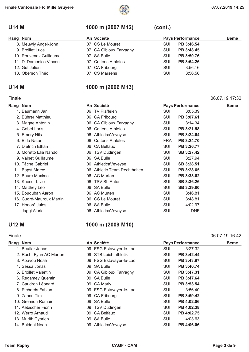

### **U14 M 1000 m (2007 M12) (cont.)**

| Rang Nom                | An Société             |            | <b>Pays Performance</b> | <b>Beme</b> |
|-------------------------|------------------------|------------|-------------------------|-------------|
| 8. Meuwly Angel-John    | 07 CS Le Mouret        | <b>SUI</b> | PB 3:46.54              |             |
| 9. Broillet Luca        | 07 CA Gibloux Farvagny | <b>SUI</b> | PB 3:48.45              |             |
| 10. Rouvenaz Guillaume  | 07 SA Bulle            | SUI        | PB 3:50.76              |             |
| 11. Di Domenico Vincent | 07 Cottens Athlètes    | SUI        | PB 3:54.26              |             |
| 12. Gut Julien          | 07 CA Fribourg         | <b>SUI</b> | 3:56.16                 |             |
| 13. Oberson Théo        | 07 CS Marsens          | <b>SUI</b> | 3:56.56                 |             |

Finale 06.07.19 17:30

### **U14 M 1000 m (2006 M13)**

#### **Rang Nom Community Community An Société Community Pays Performance Beme** 1. Baumann Jan 06 TV Plaffeien SUI 3:05.39 2. Bührer Matthieu **COM COM COM COM COM COM COM COM SUI PB 3:07.61** SUI PB 3:07.61 3. Magne Antonin **3:14.34** 06 CA Gibloux Farvagny **SUI** 3:14.34 4. Gobet Loris 06 Cottens Athlètes SUI **PB 3:21.58** 5. Emery Nils 06 AthleticaVeveyse SUI **PB 3:24.64** 6. Bida Natan 06 Cottens Athlètes FRA **PB 3:24.70** 7. Dietrich Ethan 06 CA Belfaux SUI **PB 3:26.77** 8. Moretto Elia Nando **8. Moretto Elia Nando 06 TSV Düdingen** SUI **SB 3:27.42** 9. Valnet Guillaume 06 SA Bulle SUI 3:27.94 10. Tâche Gabriel 06 AthleticaVeveyse SUI **SB 3:28.51** 11. Bapst Marco 06 Athletic Team Rechthalten SUI **PB 3:28.65** 12. Baure Maxime 06 AC Murten SUI **PB 3:33.62** 13. Kaeser Livio 06 TSV St. Antoni SUI **SB 3:36.26** 14. Matthey Léo **14. Matthey Léo 14. Matthey Léo 14. Matthey Léo 14. Matthey Léo** 15. Bouduban Aaron 06 AC Murten SUI 3:46.81 16. Cudré-Mauroux Martin 06 CS Le Mouret SUI 3:48.81 17. Honoré Jules 06 SA Bulle SUI 4:02.97 Jaggi Alaric 06 AthleticaVeveyse SUI DNF

#### **U12 M 1000 m (2009 M10)**

#### Finale 06.07.19 16:42

| Rang Nom |                        |    | An Société                |            | <b>Pays Performance</b> | <b>Beme</b> |
|----------|------------------------|----|---------------------------|------------|-------------------------|-------------|
|          | 1. Beutler Jonas       |    | 09 FSG Estavayer-le-Lac   | SUI        | 3:27.32                 |             |
|          | 2. Ruch Fynn AC Murten | 09 | <b>STB Leichtathletik</b> | SUI        | PB 3:42.44              |             |
|          | 3. Apavou Noah         |    | 09 FSG Estavayer-le-Lac   | <b>SUI</b> | PB 3:43.97              |             |
|          | 4. Sessa Jonas         | 09 | <b>SA Bulle</b>           | SUI        | PB 3:46.74              |             |
|          | 5. Broillet Valentin   |    | 09 CA Gibloux Farvagny    | <b>SUI</b> | PB 3:47.31              |             |
|          | 6. Regamey Quentin     |    | 09 SA Bulle               | <b>SUI</b> | PB 3:47.64              |             |
|          | 7. Caudron Léonard     |    | 09 CA Marly               | SUI        | PB 3:53.54              |             |
|          | 8. Richards Fabian     |    | 09 FSG Estavayer-le-Lac   | <b>SUI</b> | 3:56.40                 |             |
|          | 9. Zahnd Tim           |    | 09 CA Fribourg            | <b>SUI</b> | PB 3:59.42              |             |
|          | 10. Gremion Romain     |    | 09 SA Bulle               | <b>SUI</b> | PB 4:02.06              |             |
|          | 11. Aebischer Fionn    |    | 09 TSV Düdingen           | <b>SUI</b> | PB 4:02.38              |             |
|          | 12. Werro Arnaud       |    | 09 CA Belfaux             | SUI        | PB 4:02.75              |             |
|          | 13. Murith Cyprien     | 09 | <b>SA Bulle</b>           | SUI        | 4:03.63                 |             |
|          | 14. Baldoni Noan       |    | 09 AthleticaVeveyse       | SUI        | PB 4:06.06              |             |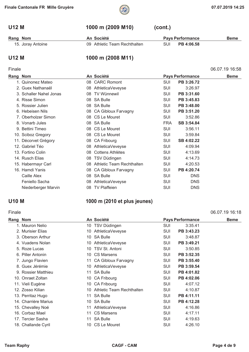

### **U12 M 1000 m (2009 M10) (cont.)**

| Rang Nom | An Société<br><b>Pays Performance</b> |                              |  | <b>Beme</b>           |  |
|----------|---------------------------------------|------------------------------|--|-----------------------|--|
|          | 15. Joray Antoine                     | 09 Athletic Team Rechthalten |  | SUI <b>PB 4:06.58</b> |  |

#### U12 M 1000 m (2008 M11)

### Finale 06.07.19 16:58

| Rang Nom |                         |    | An Société                |            | <b>Pays Performance</b> | <b>Beme</b> |
|----------|-------------------------|----|---------------------------|------------|-------------------------|-------------|
|          | 1. Quinonez Mateo       |    | 08 CARC Romont            | SUI        | PB 3:26.72              |             |
|          | 2. Guex Nathanaël       | 08 | AthleticaVeveyse          | SUI        | 3:26.97                 |             |
|          | 3. Schaller Nahel Jonas | 08 | <b>TV Wünnewil</b>        | SUI        | PB 3:31.60              |             |
|          | 4. Risse Simon          |    | 08 SA Bulle               | SUI        | PB 3:45.83              |             |
|          | 5. Rossier Julien       |    | 08 SA Bulle               | SUI        | PB 3:48.00              |             |
|          | 6. Hebeisen Nils        |    | 08 CA Gibloux Farvagny    | SUI        | PB 3:51.20              |             |
|          | 7. Oberholzer Simon     |    | 08 CS Le Mouret           | SUI        | 3:52.86                 |             |
|          | 8. Vonarb Jules         |    | 08 SA Bulle               | <b>FRA</b> | SB 3:54.84              |             |
|          | 9. Bettini Timeo        |    | 08 CS Le Mouret           | SUI        | 3:56.11                 |             |
|          | 10. Sciboz Gregory      |    | 08 CS Le Mouret           | SUI        | 3:59.84                 |             |
|          | 11. Décorvet Grégory    |    | 08 CA Fribourg            | SUI        | SB 4:02.22              |             |
|          | 12. Gabriel Téo         | 08 | AthleticaVeveyse          | SUI        | 4:09.94                 |             |
|          | 13. Fortino Colin       | 08 | <b>Cottens Athlètes</b>   | SUI        | 4:13.69                 |             |
|          | 14. Rusch Elias         | 08 | TSV Düdingen              | SUI        | 4:14.73                 |             |
|          | 15. Habermayr Carl      | 08 | Athletic Team Rechthalten | SUI        | 4:20.53                 |             |
|          | 16. Hamdi Yanis         |    | 08 CA Gibloux Farvagny    | SUI        | PB 4:20.74              |             |
|          | Caille Alex             |    | 08 SA Bulle               | SUI        | <b>DNS</b>              |             |
|          | Feniello Sacha          | 08 | AthleticaVeveyse          | <b>SUI</b> | <b>DNS</b>              |             |
|          | Niederberger Marvin     | 08 | <b>TV Plaffeien</b>       | <b>SUI</b> | <b>DNS</b>              |             |

### **U10 M 1000 m (2010 et plus jeunes)**

#### Finale 06.07.19 16:18 **Rang Nom Community Community An Société Community Pays Performance Beme** 1. Mauron Nelio 10 TSV Düdingen SUI 3:35.41 2. Murisier Elias 10 AthleticaVeveyse SUI **PB 3:43.23** 3. Oberson Arthur 10 SA Bulle SUI 3:48.87 4. Vuadens Nolan 10 AthleticaVeveyse SUI **PB 3:49.21** 5. Roze Lucas 10 TSV St. Antoni SUI 3:50.85 6. Piller Antonin 10 CS Marsens SUI **PB 3:52.35** 7. Jungo Flavien 11 CA Gibloux Farvagny SUI **PB 3:55.40** 8. Guex Jérémie 10 AthleticaVeveyse SUI **PB 3:59.54** 9. Rossier Matthieu 11 SA Bulle SUI **PB 4:01.82** 10. Onraet Zoltan 10 CA Fribourg SUI **PB 4:02.06** 11. Vieli Eugène 10 CA Fribourg 10 CA Fribourg 11. Vieli Eugène 1:07.12 12. Zosso Kilian 10 Athletic Team Rechthalten SUI 4:10.87 13. Perritaz Hugo 11 SA Bulle SUI **PB 4:11.11** 14. Charrière Marius 10 SA Bulle SUI **PB 4:12.28** 15. Chevalley Noé 11 AthleticaVeveyse SUI 4:16.86 16. Corbaz Mael 11 CS Marsens SUI 4:17.11 17. Tercier Sasha 11 SA Bulle 11 SA Bulle 11 SA Bulle 11. SUI 4:19.63 18. Challande Cyril 10 CS Le Mouret 10 CS Le Mouret 5UI 4:26.10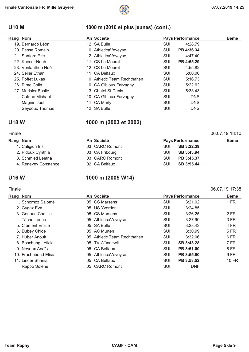### **U10 M 1000 m (2010 et plus jeunes) (cont.)**

| Rang Nom            | An Société                   |            | <b>Pays Performance</b> | <b>Beme</b> |
|---------------------|------------------------------|------------|-------------------------|-------------|
| 19. Bernardo Léon   | 12 SA Bulle                  | SUI        | 4:28.79                 |             |
| 20. Pesse Romain    | 10 AthleticaVeveyse          | <b>SUI</b> | PB 4:36.34              |             |
| 21. Santoro Eric    | 12 AthleticaVeveyse          | <b>SUI</b> | 4:47.40                 |             |
| 22. Kaeser Noah     | 11 CS Le Mouret              | <b>SUI</b> | PB 4:55.29              |             |
| 23. Vonlanthen Noé  | 12 CS Le Mouret              | <b>SUI</b> | 4:55.82                 |             |
| 24. Seiler Ethan    | 11 CA Belfaux                | <b>SUI</b> | 5:00.00                 |             |
| 25. Poffet Lukas    | 10 Athletic Team Rechthalten | <b>SUI</b> | 5:16.73                 |             |
| 26. Rime Colin      | 10 CA Gibloux Farvagny       | SUI        | 5:22.62                 |             |
| 27. Murisier Basile | 13 Chatel St Denis           | SUI        | 5:33.43                 |             |
| Cutrino Michael     | 10 CA Gibloux Farvagny       | <b>SUI</b> | <b>DNS</b>              |             |
| Magnin Joël         | 11 CA Marly                  | SUI        | <b>DNS</b>              |             |
| Seydoux Thomas      | 12 SA Bulle                  | SUI        | <b>DNS</b>              |             |

### **U18 W 1000 m (2003 et 2002)**

#### Finale 06.07.19 18:10

| Rang Nom             | An Société     |            | <b>Pays Performance</b> | <b>Beme</b> |
|----------------------|----------------|------------|-------------------------|-------------|
| 1. Caligiuri Iris    | 03 CARC Romont | <b>SUI</b> | SB 3:22.39              |             |
| 2. Pidoux Cynthia    | 03 CA Fribourg | <b>SUI</b> | SB 3:43.94              |             |
| 3. Schmied Leïana    | 03 CARC Romont | <b>SUI</b> | PB 3:45.37              |             |
| 4. Renevey Constance | 02 CA Belfaux  | <b>SUI</b> | SB 3:55.44              |             |

### U16 W 1000 m (2005 W14)

## **Rang Nom Community And Société Community Pays Performance Beme** 1. Schornoz Salomé 05 CS Marsens SUI 3:21.02 1 FR

| 2. Gygax Eva         | 05 US Yverdon                | SUI        | 3:24.85    |       |
|----------------------|------------------------------|------------|------------|-------|
| 3. Genoud Camille    | 05 CS Marsens                | SUI        | 3:26.25    | 2 FR  |
| 4. Tâche Louna       | 05 AthleticaVeveyse          | SUI        | 3:27.90    | 3 FR  |
| 5. Clément Emilie    | 05 SA Bulle                  | SUI        | 3:28.43    | 4 FR  |
| 6. Dubey Chloé       | 05 AC Murten                 | <b>SUI</b> | 3:30.99    | 5 FR  |
| 7. Huber Anouk       | 05 Athletic Team Rechthalten | SUI        | 3:32.06    | 6 FR  |
| 8. Boschung Leticia  | 05 TV Wünnewil               | SUI        | SB 3:43.28 | 7 FR  |
| 9. Nevoux Anaïs      | 05 CA Belfaux                | SUI        | PB 3:51.00 | 8 FR  |
| 10. Fracheboud Elisa | 05 AthleticaVeveyse          | <b>SUI</b> | PB 3:55.90 | 9 FR  |
| 11. Linder Shania    | 05 CA Belfaux                | <b>SUI</b> | PB 3:58.52 | 10 FR |
| Rappo Solène         | 05 CARC Romont               | <b>SUI</b> | <b>DNF</b> |       |

Finale 06.07.19 17:38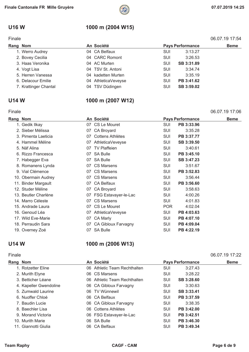

### **U16 W 1000 m (2004 W15)**

| Finale   |                       |  |                     |            |                         | 06.07.19 17:54 |
|----------|-----------------------|--|---------------------|------------|-------------------------|----------------|
| Rang Nom |                       |  | An Société          |            | <b>Pays Performance</b> | <b>Beme</b>    |
|          | 1. Werro Audrey       |  | 04 CA Belfaux       | <b>SUI</b> | 3:13.27                 |                |
|          | 2. Bovey Cecilia      |  | 04 CARC Romont      | <b>SUI</b> | 3:26.53                 |                |
|          | 3. Haas Veronika      |  | 04 AC Murten        | <b>SUI</b> | SB 3:31.89              |                |
|          | 4. Vogt Lisa          |  | 04 TSV St. Antoni   | <b>SUI</b> | 3:34.74                 |                |
|          | 5. Herren Vanessa     |  | 04 kadetten Murten  | <b>SUI</b> | 3:35.19                 |                |
|          | 6. Delacour Emilie    |  | 04 AthleticaVeveyse | SUI        | PB 3:41.62              |                |
|          | 7. Krattinger Chantal |  | 04 TSV Düdingen     | <b>SUI</b> | SB 3:59.02              |                |

### **U14 W 1000 m (2007 W12)**

#### Rang Nom **An Société Pays Performance** Beme 1. Gedik Ilkay 07 CS Le Mouret SUI **PB 3:33.96** 2. Sieber Mélissa 07 CA Broyard SUI 3:35.28 3. Pimenta Laeticia 07 Cottens Athlètes SUI **PB 3:37.77** 4. Hammel Méline 07 AthleticaVeveyse SUI **SB 3:39.50** 5. Näf Alina 07 TV Plaffeien SUI 3:40.61 6. Rizzo Francesca 07 SA Bulle SUI **PB 3:45.10** 7. Habegger Eva 07 SA Bulle SUI **SB 3:47.23** 8. Romanens Lynda 07 CS Marsens SUI 3:51.67 9. Vial Clémence **19. Intervention CPT** O7 CS Marsens **SUI PB 3:52.83** 10. Obermain Audrey **07 CS Marsens** 607 CS Marsens 61 CH<sub>3</sub> 3:56.44 11. Binder Margault 07 CA Belfaux SUI **PB 3:56.60** 12. Studer Méline **12. Studer Méline** 12. Studer Méline 1991 CA Broyard 12. SUI 13:58.63 13. Beutler Charlène **07 FSG Estavayer-le-Lac** SUI 4:00.26 14. Marro Céleste 07 CS Marsens SUI 4:01.83 15. Andrade Laura 07 CS Le Mouret POR 4:02.04 16. Genoud Léa 07 AthleticaVeveyse SUI **PB 4:03.63** 17. Wild Eve-Marie **17. Wild Eve-Marie 17. Wild Eve-Marie** 17. Wild Eve-Marie 107.10 18. Perraudin Sara 07 CA Gibloux Farvagny SUI **PB 4:09.04** 19. Overney Zoé 07 SA Bulle SUI **PB 4:22.19**

### **U14 W 1000 m (2006 W13)**

#### Finale 06.07.19 17:22 Rang Nom **Beme An Société Pays Performance** Beme 1. Rotzetter Eline 06 Athletic Team Rechthalten SUI 3:27.43 2. Murith Elyne **2. Murith Elyne 2. Murith Elyne 3:28.22** 3. Betticher Léane 06 Athletic Team Rechthalten SUI **SB 3:28.60** 4. Kapeller Gwendoline 06 CA Gibloux Farvagny SUI 3:30.63 5. Zumwald Laurine 06 TV Wünnewil SUI **SB 3:33.41** 6. Nuoffer Chloé 06 CA Belfaux SUI **PB 3:37.59** 7. Baudin Lucie 06 CA Gibloux Farvagny SUI 3:38.35 8. Baechler Lisa 06 Cottens Athlètes SUI **PB 3:42.00** 9. Morand Victoria 06 FSG Estavayer-le-Lac SUI **PB 3:42.51** 10. Murith Marie 06 SA Bulle SUI **PB 3:46.30** 11. Giannotti Giulia 06 CA Belfaux SUI **PB 3:49.34**

#### Finale 06.07.19 17:06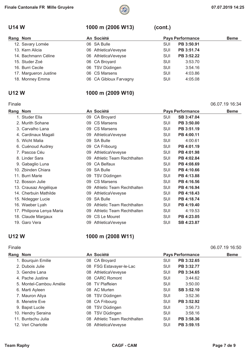

### **U14 W 1000 m (2006 W13) (cont.)**

| Rang Nom              | An Société             |            | <b>Pays Performance</b> | <b>Beme</b> |
|-----------------------|------------------------|------------|-------------------------|-------------|
| 12. Savary Lomée      | 06 SA Bulle            | SUI        | PB 3:50.91              |             |
| 13. Kern Alicia       | 06 AthleticaVeveyse    | <b>SUI</b> | PB 3:51.74              |             |
| 14. Bachmann Céline   | 06 AthleticaVeveyse    | <b>SUI</b> | PB 3:52.22              |             |
| 15. Studer Zoé        | 06 CA Broyard          | <b>SUI</b> | 3:53.70                 |             |
| 16. Burri Cecile      | 06 TSV Düdingen        | SUI        | 3:54.16                 |             |
| 17. Margueron Justine | 06 CS Marsens          | SUI        | 4:03.86                 |             |
| 18. Monney Emma       | 06 CA Gibloux Farvagny | SUI        | 4:05.08                 |             |
|                       |                        |            |                         |             |

### **U12 W 1000 m (2009 W10)**

### Finale 06.07.19 16:34

| Rang Nom |                           |    | An Société                   |     | <b>Pays Performance</b> | <b>Beme</b> |
|----------|---------------------------|----|------------------------------|-----|-------------------------|-------------|
|          | 1. Studer Ella            |    | 09 CA Broyard                | SUI | SB 3:47.04              |             |
|          | 2. Murith Sohane          |    | 09 CS Marsens                | SUI | PB 3:50.00              |             |
|          | 3. Carvalho Lana          |    | 09 CS Marsens                | SUI | PB 3:51.19              |             |
|          | 4. Cardinaux Magali       |    | 09 AthleticaVeveyse          | SUI | PB 4:00.11              |             |
|          | 5. Wicht Malia            | 09 | <b>SA Bulle</b>              | SUI | 4:00.61                 |             |
|          | 6. Cuénoud Audrey         | 09 | <b>CA Fribourg</b>           | SUI | PB 4:01.19              |             |
|          | 7. Pascoa Céu             | 09 | AthleticaVeveyse             | SUI | PB 4:01.98              |             |
|          | 8. Linder Sara            | 09 | Athletic Team Rechthalten    | SUI | PB 4:02.84              |             |
|          | 9. Gabaglio Luna          |    | 09 CA Belfaux                | SUI | PB 4:08.69              |             |
|          | 10. Zbinden Chiara        | 09 | <b>SA Bulle</b>              | SUI | PB 4:10.66              |             |
|          | 11. Burri Marie           |    | 09 TSV Düdingen              | SUI | PB 4:13.88              |             |
|          | 12. Bosson Julie          | 09 | <b>CS Marsens</b>            | SUI | PB 4:16.56              |             |
|          | 13. Crausaz Angélique     |    | 09 Athletic Team Rechthalten | SUI | PB 4:16.94              |             |
|          | 14. Cherbuin Mathilde     | 09 | AthleticaVeveyse             | SUI | PB 4:18.43              |             |
|          | 15. Nidegger Lucie        | 09 | <b>SA Bulle</b>              | SUI | PB 4:18.74              |             |
|          | 16. Waeber Lyah           |    | 09 Athletic Team Rechthalten | SUI | PB 4:19.40              |             |
|          | 17. Philipona Lenya Maria |    | 09 Athletic Team Rechthalten | SUI | 4:19.53                 |             |
|          | 18. Claude Margaux        | 09 | CS Le Mouret                 | SUI | PB 4:23.05              |             |
|          | 19. Garo Vera             | 09 | AthleticaVeveyse             | SUI | SB 4:23.87              |             |

### **U12 W 1000 m (2008 W11)**

#### Finale 06.07.19 16:50

| Rang Nom           |                         | An Société                   |            | <b>Pays Performance</b> | <b>Beme</b> |
|--------------------|-------------------------|------------------------------|------------|-------------------------|-------------|
| 1. Bourquin Emilie |                         | 08 CA Broyard                | SUI        | PB 3:32.65              |             |
| 2. Dubois Julie    |                         | 08 FSG Estavayer-le-Lac      | SUI        | PB 3:32.77              |             |
| 3. Gendre Lana     |                         | 08 AthleticaVeveyse          | <b>SUI</b> | PB 3:34.65              |             |
| 4. Pache Justine   |                         | 08 CARC Romont               | <b>SUI</b> | 3:44.62                 |             |
|                    | 5. Montel-Cambou Amélie | 08 TV Plaffeien              | <b>SUI</b> | 3:50.00                 |             |
| 6. Marti Ayleen    |                         | 08 AC Murten                 | SUI        | SB 3:52.10              |             |
| 7. Mauron Aliya    |                         | 08 TSV Düdingen              | <b>SUI</b> | 3:52.36                 |             |
| 8. Menetre Eve     |                         | 08 CA Fribourg               | SUI        | PB 3:52.92              |             |
| 9. Bapst Lucile    |                         | 08 TSV Düdingen              | SUI        | 3:56.73                 |             |
| 10. Hendry Seraina |                         | 08 TSV Düdingen              | SUI        | 3:58.16                 |             |
| 11. Buntschu Julia |                         | 08 Athletic Team Rechthalten | SUI        | PB 3:58.36              |             |
| 12. Veri Charlotte |                         | 08 AthleticaVeveyse          | SUI        | PB 3:59.15              |             |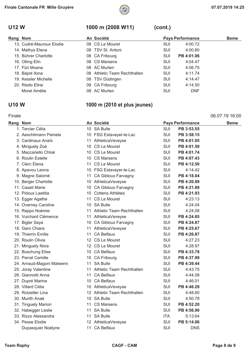

### **U12 W 1000 m (2008 W11) (cont.)**

| Rang Nom |                          | An Société                   |            | <b>Pays Performance</b> | <b>Beme</b> |
|----------|--------------------------|------------------------------|------------|-------------------------|-------------|
|          | 13. Cudré-Mauroux Elodie | 08 CS Le Mouret              | <b>SUI</b> | 4:00.72                 |             |
|          | 14. Mathys Elena         | 08 TSV St. Antoni            | <b>SUI</b> | 4:00.80                 |             |
|          | 15. Bührer Charlotte     | 08 CA Fribourg               | SUI        | PB 4:01.06              |             |
|          | 16. Olling Elin          | 08 CS Marsens                | <b>SUI</b> | 4:04.47                 |             |
|          | 17. Füri Moana           | 08 AC Murten                 | <b>SUI</b> | 4:06.75                 |             |
|          | 18. Bapst Ilona          | 08 Athletic Team Rechthalten | <b>SUI</b> | 4:11.74                 |             |
|          | 19. Kessler Michelle     | 08 TSV Düdingen              | <b>SUI</b> | 4:14.47                 |             |
|          | 20. Riedo Eline          | 08 CA Fribourg               | <b>SUI</b> | 4:14.50                 |             |
|          | Morel Amélie             | 08 AC Murten                 | SUI        | <b>DNF</b>              |             |

### **U10 W 1000 m (2010 et plus jeunes)**

#### Finale 06.07.19 16:00

| <b>Rang Nom</b> |                           |    | An Société                   |            | <b>Pays Performance</b> | <b>Beme</b> |
|-----------------|---------------------------|----|------------------------------|------------|-------------------------|-------------|
|                 | 1. Tercier Célia          |    | 10 SA Bulle                  | SUI        | PB 3:53.55              |             |
|                 | 2. Aeschlimann Pamela     |    | 10 FSG Estavayer-le-Lac      | <b>SUI</b> | PB 3:58.15              |             |
|                 | 3. Cardinaux Anaïs        |    | 11 AthleticaVeveyse          | SUI        | PB 4:01.05              |             |
|                 | 4. Minguely Zoé           |    | 10 CS Le Mouret              | SUI        | PB 4:01.59              |             |
|                 | 5. Maccariello Chloé      |    | 10 CS Le Mouret              | <b>SUI</b> | PB 4:01.74              |             |
|                 | 6. Roulin Estelle         |    | 10 CS Marsens                | SUI        | PB 4:07.43              |             |
|                 | 7. Clerc Elena            |    | 11 CS Le Mouret              | SUI        | PB 4:12.50              |             |
|                 | 8. Apavou Leona           |    | 10 FSG Estavayer-le-Lac      | SUI        | 4:14.42                 |             |
|                 | 9. Magne Salomé           |    | 11 CA Gibloux Farvagny       | <b>SUI</b> | PB 4:18.04              |             |
|                 | 10. Berger Charlotte      |    | 10 AthleticaVeveyse          | SUI        | PB 4:20.89              |             |
|                 | 11. Casati Marie          |    | 10 CA Gibloux Farvagny       | SUI        | PB 4:21.89              |             |
|                 | 12. Pidoux Laetitia       |    | 10 Cottens Athlètes          | <b>SUI</b> | PB 4:21.93              |             |
|                 | 13. Egger Agathe          |    | 11 CS Le Mouret              | SUI        | 4:23.13                 |             |
|                 | 14. Overney Caroline      |    | 10 SA Bulle                  | SUI        | 4:24.04                 |             |
|                 | 15. Rappo Noémie          |    | 11 Athletic Team Rechthalten | SUI        | 4:24.08                 |             |
|                 | 16. Vuichard Clémence     |    | 11 AthleticaVeveyse          | SUI        | PB 4:24.85              |             |
|                 | 17. Bigler Saya           |    | 10 CA Gibloux Farvagny       | SUI        | PB 4:24.87              |             |
|                 | 18. Garo Chiara           |    | 11 AthleticaVeveyse          | SUI        | PB 4:25.67              |             |
|                 | 19. Thierrin Emilie       | 11 | <b>CA Belfaux</b>            | <b>SUI</b> | PB 4:26.87              |             |
|                 | 20. Roulin Olivia         |    | 12 CS Le Mouret              | SUI        | 4:27.23                 |             |
|                 | 21. Minguely Nora         |    | 12 CS Le Mouret              | SUI        | 4:28.97                 |             |
|                 | 22. Boschung Elise        |    | 10 CA Belfaux                | SUI        | PB 4:33.78              |             |
|                 | 23. Parrat Camille        |    | 10 CA Fribourg               | SUI        | PB 4:37.99              |             |
|                 | 24. Arnaud-Magoni Malwenn |    | 11 SA Bulle                  | <b>SUI</b> | PB 4:39.44              |             |
|                 | 25. Joray Valentine       |    | 11 Athletic Team Rechthalten | SUI        | 4:43.75                 |             |
|                 | 26. Giannotti Anna        | 11 | <b>CA Belfaux</b>            | SUI        | 4:44.08                 |             |
|                 | 27. Dupré Marine          |    | 10 CA Belfaux                | <b>SUI</b> | 4:46.01                 |             |
|                 | 28. Villard Célia         |    | 10 AthleticaVeveyse          | SUI        | PB 4:46.29              |             |
|                 | 29. Rotzetter Lina        |    | 12 Athletic Team Rechthalten | SUI        | 4:48.60                 |             |
|                 | 30. Murith Anaé           |    | 10 SA Bulle                  | SUI        | 4:50.78                 |             |
|                 | 31. Tinguely Marion       |    | 11 CS Marsens                | SUI        | PB 4:52.20              |             |
|                 | 32. Habegger Leslie       |    | 11 SA Bulle                  | SUI        | PB 4:56.90              |             |
|                 | 33. Rizzo Alessandra      |    | 11 SA Bulle                  | <b>ITA</b> | 5:13.64                 |             |
|                 | 34. Pesse Elodie          |    | 12 AthleticaVeveyse          | SUI        | PB 5:14.06              |             |
|                 | Dupasquier Noélyne        |    | 11 CA Belfaux                | SUI        | <b>DNS</b>              |             |